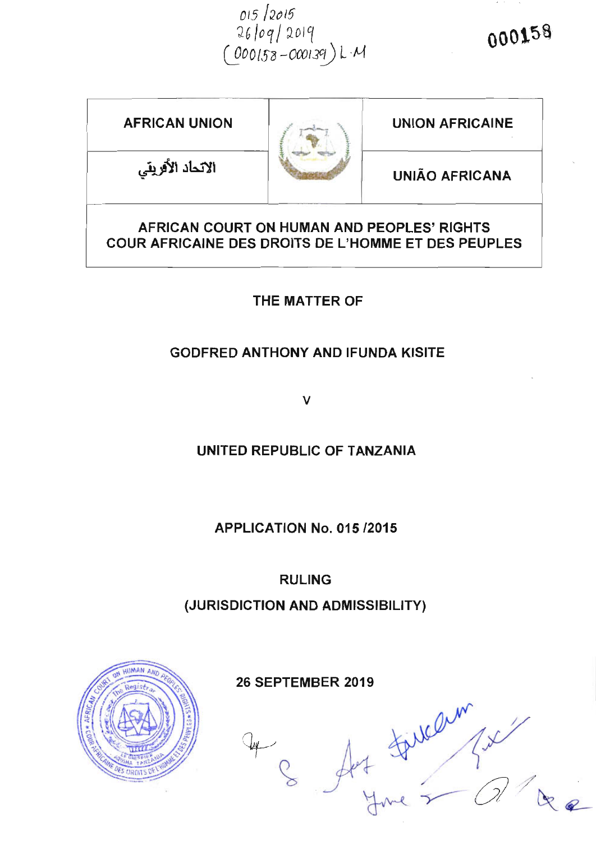015/2015<br>26/09/2019<br>(000158-000139)LM

| <b>AFRICAN UNION</b>                                                                                     |  | <b>UNION AFRICAINE</b> |
|----------------------------------------------------------------------------------------------------------|--|------------------------|
| الاتحاد الأفريقي                                                                                         |  | <b>UNIÃO AFRICANA</b>  |
| AFRICAN COURT ON HUMAN AND PEOPLES' RIGHTS<br><b>COUR AFRICAINE DES DROITS DE L'HOMME ET DES PEUPLES</b> |  |                        |

THE MATTER OF

### **GODFRED ANTHONY AND IFUNDA KISITE**

 $\vee$ 

UNITED REPUBLIC OF TANZANIA

**APPLICATION No. 015 /2015** 

**RULING** 

(JURISDICTION AND ADMISSIBILITY)

**26 SEPTEMBER 2019** Art Fillem (x)

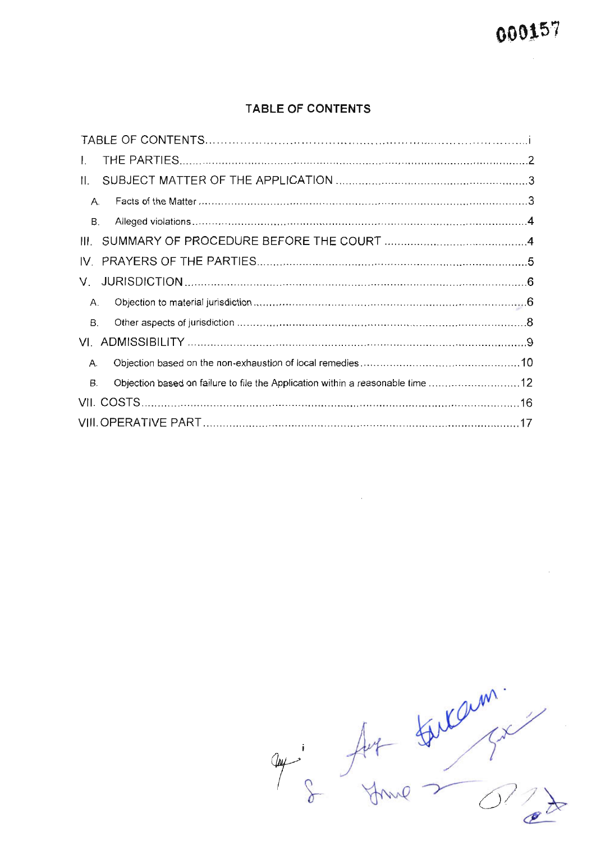$\bar{z}$ 

#### TABLE OF CONTENTS

| Objection based on failure to file the Application within a reasonable time 12 |
|--------------------------------------------------------------------------------|
|                                                                                |
|                                                                                |
|                                                                                |

 $\sim 10^{-1}$ 

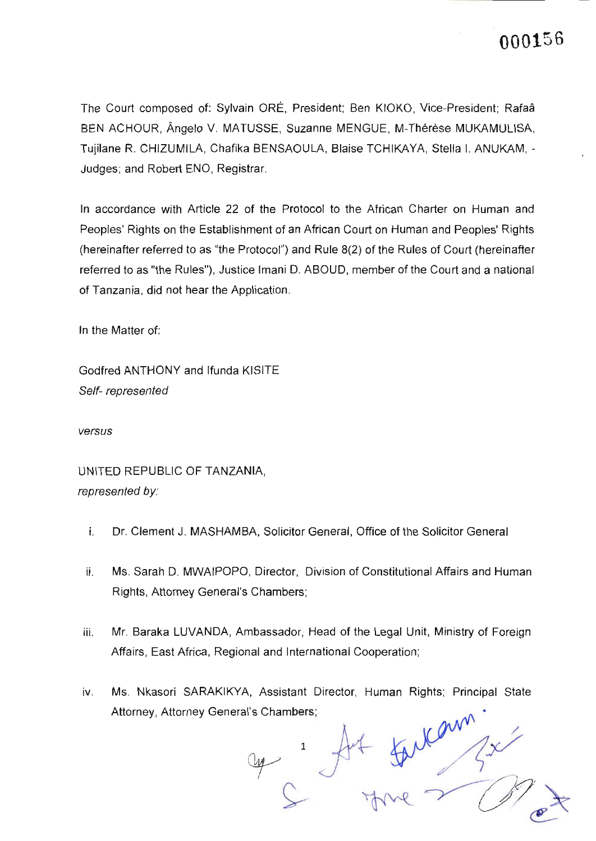The Court composed of: Sylvain ORE, President; Ben KIOKO, Vice-president; Rafa6 BEN ACHOUR, Ângelo V. MATUSSE, Suzanne MENGUE, M-Thérèse MUKAMULISA, Tujilane R. CHIZUMILA, Chafika BENSAOULA, Blaise TCHIKAYA, Stella I, ANUKAM, -Judges; and Robert ENO, Registrar.

ln accordance with Article 22 of the Protocol to the African Charter on Human and Peoples' Rights on the Establishment of an African Court on Human and Peoples' Rights (hereinafter referred to as "the Protocol") and Rule 8(2) of the Rules of Court (hereinafter referred to as "the Rules"), Justice lmani D. ABOUD, member of the Court and a national of Tanzania, did not hear the Application.

ln the Matter of

Godfred ANTHONY and lfunda KISITE Self- represented

versus

UNITED REPUBLIC OF TANZANIA, represented by:

- i. Dr. Clement J. MASHAMBA, Solicitor General, Office of the Solicitor Generat
- Ms. Sarah D. MWAIPOPO, Director, Division of Constitutional Affairs and Human ii. Rights, Attorney General's Chambers;
- iii. Mr. Baraka LUVANDA, Ambassador, Head of the Legal Unit, Ministry of Foreign Affairs, East Africa, Regional and lnternational Cooperation;
- Ms. Nkasori SARAKIKYA, Assistant Director, Human Rights; Principal State Attorney, Attorney General's Chambers; iv.

com? I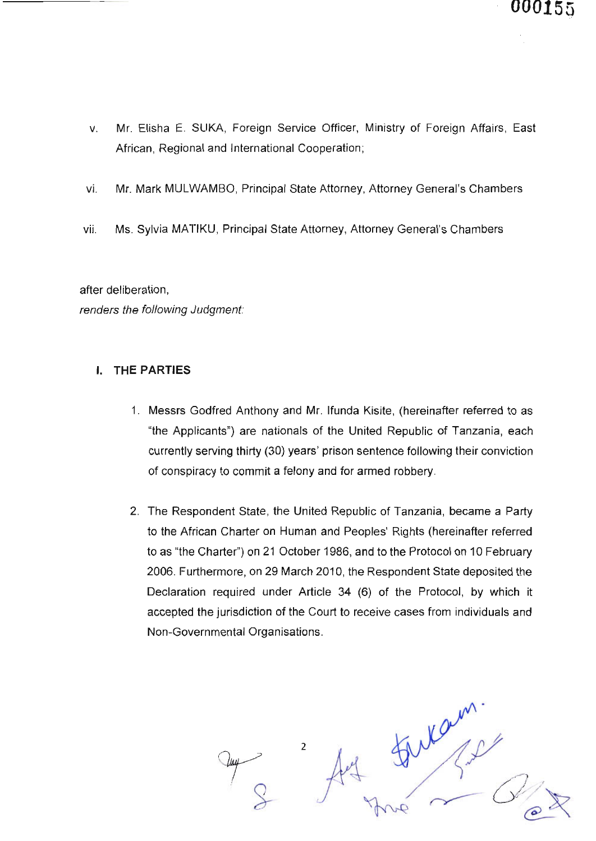- Mr. Elisha E. SUKA, Foreign Service Officer, Ministry of Foreign Affairs, East African, Regional and lnternational Cooperation; V
- vi. Mr. Mark MULWAMBO, Principal State Attorney, Attorney General's Chambers
- vii. Ms. Sylvia MATIKU, Principal State Attorney, Attorney General's Chambers

after deliberation, renders the following Judgment:

#### I. THE PARTIES

- 1. Messrs Godfred Anthony and Mr. lfunda Kisite, (hereinafter referred to as "the Applicants") are nationals of the United Republic of Tanzania, each currently serving thirty (30) years' prison sentence following their conviction of conspiracy to commit a felony and for armed robbery.
- 2. The Respondent State, the United Republic of Tanzania, became a Party to the African Charter on Human and Peoples' Rights (hereinafter referred to as "the Charter") on 21 October 1986, and to the Protocol on 10 February 2006. Furthermore, on 29 March 2010, the Respondent State deposited the Declaration required under Article 34 (6) of the Protocol, by which it accepted the jurisdiction of the Court to receive cases from individuals and Non-Governmental Organisations.

wearn 2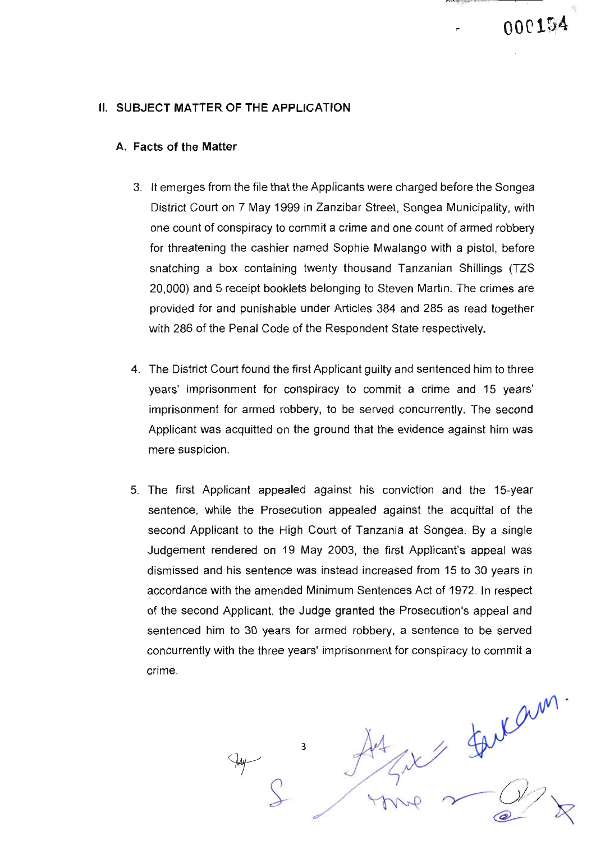#### **II. SUBJECT MATTER OF THE APPLICATION**

#### A. Facts of the Matter

3. lt emerges from the file that the Applicants were charged before the Songea District Court on 7 May 1999 in Zanzibar Street, Songea Municipality, with one count of conspiracy to commit a crime and one count of armed robbery for threatening the cashier named Sophie Mwalango with a pistol, before snatching a box containing twenty thousand Tanzanian Shillings (TZS 20,000) and 5 receipt booklets belonging to Steven Martin. The crimes are provided for and punishable under Articles 384 and 285 as read together with 286 of the Penal Code of the Respondent State respectively.

- 4. The District Court found the first Applicant guilty and sentenced him to three years' imprisonment for conspiracy to commit a crime and 15 years' imprisonment for armed robbery, to be served concurrenfly. The second Applicant was acquitted on the ground that the evidence against him was mere suspicion.
- 5. The first Applicant appealed against his conviction and the 1S-year sentence, while the Prosecution appealed against the acquittal of the second Applicant to the High Court of Tanzania at Songea. By a single Judgement rendered on 19 May 2003, the first Applicant's appeal was dismissed and his sentence was instead increased from 15 to 30 years in accordance with the amended Minimum Sentences Act of 1972. ln respect of the second Applicant, the Judge granted the Prosecution's appeal and sentenced him to 30 years for armed robbery, a sentence to be served concurrently with the three years' imprisonment for conspiracy to commit a crime.

faitan ny<br>V 3  $O\prime$  $^{\circ}$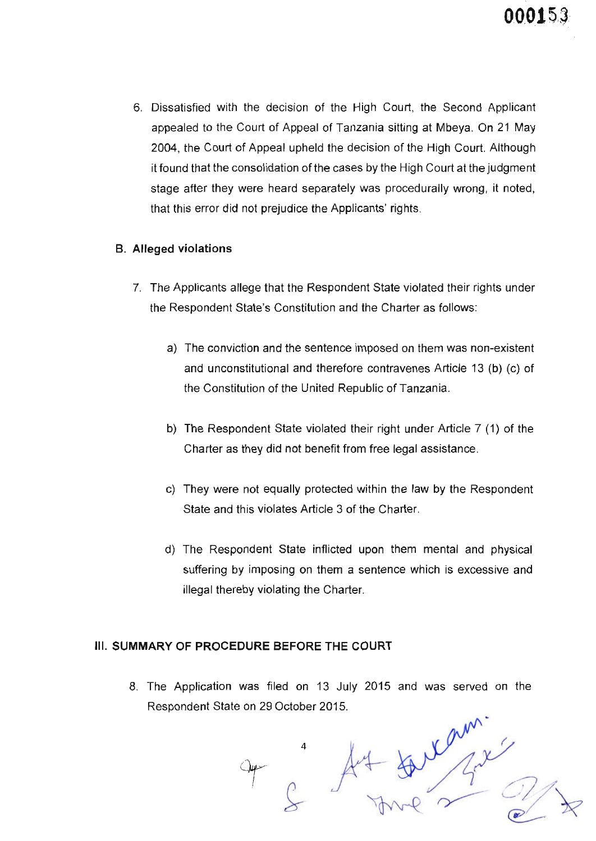6. Dissatisfied with the decision of the High Court, the Second Appticant appealed to the Court of Appeal of Tanzania sitting at Mbeya. On 21 May 2004, the Court of Appeal upheld the decision of the High Court. Although it found that the consolidation of the cases by the High Court at the judgment stage after they were heard separately was procedurally wrong, it noted, that this error did not prejudice the Applicants' rights.

#### B. Alleged violations

- 7. The Applicants allege that the Respondent State violated their rights under the Respondent State's Constitution and the Charter as follows:
	- a) The conviction and the sentence imposed on them was non-existent and unconstitutional and therefore contravenes Article 13 (b) (c) of the Constitution of the United Republic of Tanzania.
	- b) The Respondent State violated their right under Article 7 (1) of the Charter as they did not benefit from free legal assistance.
	- c) They were not equally protected within the law by the Respondent State and this violates Article 3 of the Charter.
	- d) The Respondent State inflicted upon them mental and physical suffering by imposing on them a sentence which is excessive and illegal thereby violating the Charter.

#### III. SUMMARY OF PROCEDURE BEFORE THE GOURT

8. The Application was filed on 13 July 2015 and was served on the Respondent State on 29 October 2015.

ram.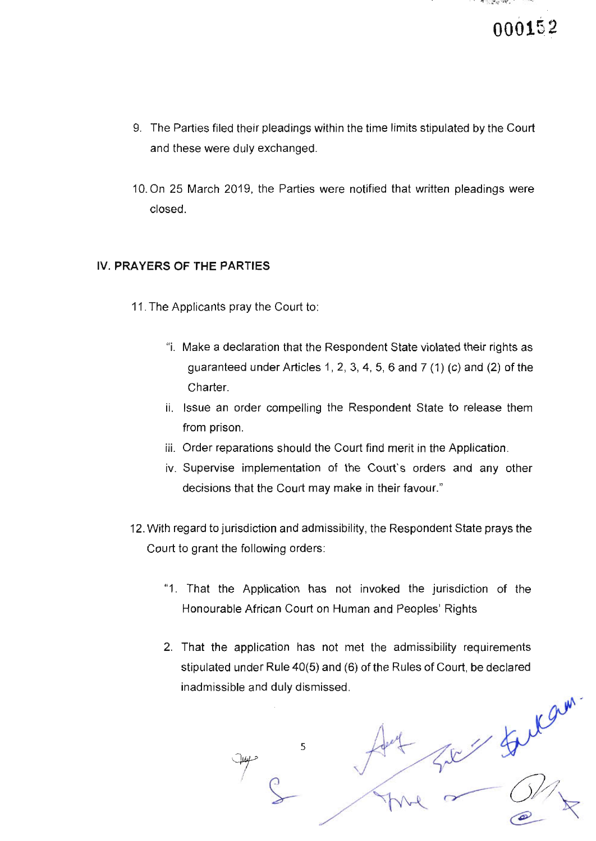- 9. The Parties filed their pleadings within the time limits stipulated by the Court and these were duly exchanged.
- 10.On 25 March 2019, the Parties were notified that written pleadings were closed

#### !V. PRAYERS OF THE PARTIES

- 11. The Applicants pray the Court to:
	- "i. Make a declaration that the Respondent State violated their rights as guaranteed under Articles 1, 2, 3, 4, 5, 6 and 7 (1) (c) and (2) of the Charter.
	- ii. lssue an order compelling the Respondent State to release them from prison.
	- iii. Order reparations should the Court find merit in the Application.
	- iv. Supervise implementation of the Court's orders and any other decisions that the Court may make in their favour."
- 12. With regard to jurisdiction and admissibility, the Respondent State prays the Court to grant the following orders:
	- "1. That the Application has not invoked the jurisdiction of the Honourable African Court on Human and Peoples' Rights
	- 2. That the application has not met the admissibility requirements stipulated under Rule 40(5) and (6) of the Rules of Court, be declared inadmissible and duly dismissed.

5 e-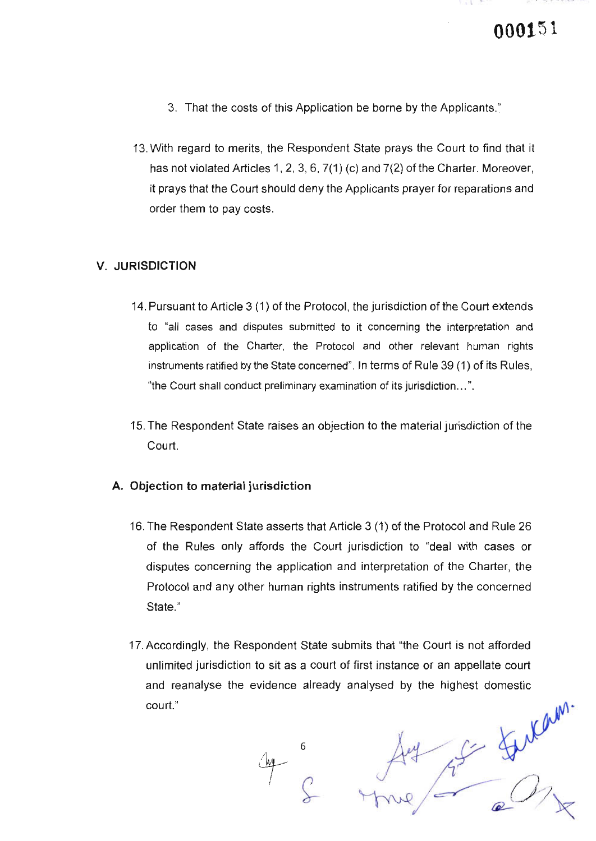- 3. That the costs of this Application be borne by the Applicants."
- 13.With regard to merits, the Respondent State prays the Court to find that it has not violated Articles 1, 2, 3, 6, 7(1) (c) and 7(2) of the Charter. Moreover, it prays that the Court should deny the Applicants prayer for reparations and order them to pay costs.

#### V. JURISDICT]ON

- 14. Pursuant to Article 3 (1) of the Protocol, the jurisdiction of the Court extends to "all cases and disputes submitted to it concerning the interpretation and application of the Charter, the Protocol and other relevant human rights instruments ratified by the State concerned". ln terms of Rule 39 (1) of its Rules, "the Court shall conduct preliminary examination of its jurisdiction. . . ".
- 15. The Respondent State raises an objection to the material jurisdiction of the Court.

#### A. Objection to material jurisdiction

- 16. The Respondent State asserts that Article 3 (1 ) of the Protocol and Rule 26 of the Rules only affords the Court jurisdiction to "deal with cases or disputes concerning the application and interpretation of the Charter, the Protocol and any other human rights instruments ratified by the concerned State."
- 17. Accordingly, the Respondent State submits that "the Court is not afforded unlimited jurisdiction to sit as a court of first instance or an appellate court and reanalyse the evidence already analysed by the highest domestic court." Futam.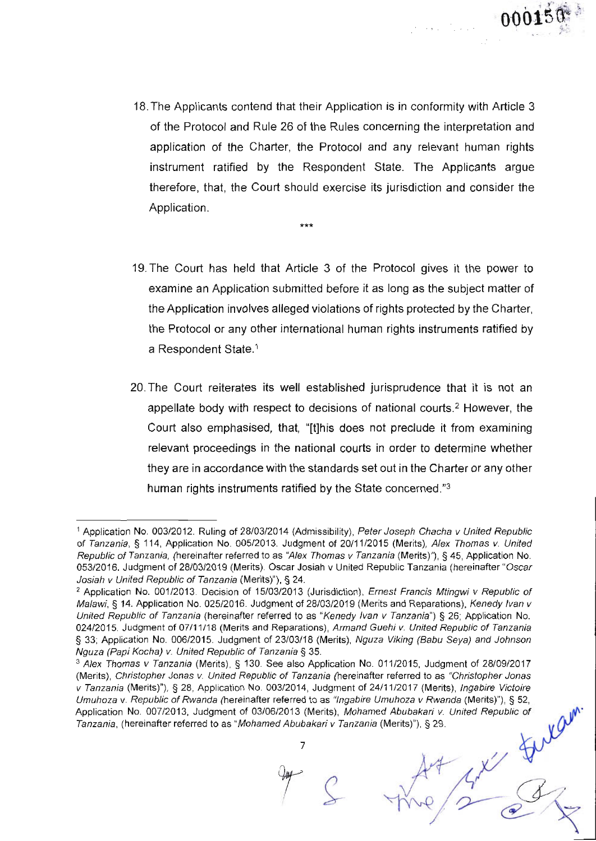

18. The Applicants contend that their Application is in conformity with Article 3 of the Protocol and Rule 26 of the Rules concerning the interpretation and application of the Charter, the Protocol and any relevant human rights instrument ratified by the Respondent State. The Applicants argue therefore, that, the Court should exercise its jurisdiction and consider the Application.

\*\*\*

- 19.The Court has held that Article 3 of the Protocol gives it the power to examine an Application submitted before it as long as the subject matter of the Application involves alleged violations of rights protected by the Charter, the Protocol or any other international human rights instruments ratified by a Respondent State.<sup>1</sup>
- 20.The Court reiterates its well established jurisprudence that it is not an appellate body with respect to decisions of national courts.<sup>2</sup> However, the Court also emphasised, that, "[t]his does not preclude it from examining relevant proceedings in the national courts in order to determine whether they are in accordance with the standards set out in the Charter or any other human rights instruments ratified by the State concerned."3

7

<sup>}</sup>

<sup>&</sup>lt;sup>1</sup> Application No. 003/2012. Ruling of 28/03/2014 (Admissibility), Peter Joseph Chacha v United Republic of Tanzania, § 114, Application No. 005/2013. Judgment of 20/11/2015 (Merits), Alex Thomas v. United Republic of Tanzania, (hereinafter referred to as "Alex Thomas v Tanzania (Merits)"), § 45, Application No. 053/2016. Judgment of 28/03/2019 (Merits). Oscar Josiah v United Republic Tanzania (hereinafter "Oscar Josiah v United Republic of Tanzania (Merits)"), § 24.

<sup>&</sup>lt;sup>2</sup> Application No. 001/2013. Decision of 15/03/2013 (Jurisdiction), Ernest Francis Mtingwi v Republic of Malawi, § 14. Application No. 025/2016. Judgment of 28/03/2019 (Merits and Reparations), Kenedy Ivan v United Republic of Tanzania (hereinafter referred to as "Kenedy Ivan v Tanzania") § 26; Application No. 024/2015. Judgment of 07/11/18 (Merits and Reparations), Armand Guehi v. United Republic of Tanzania § 33; Application No. 006/2015. Judgment of 23/03/18 (Merits), Nguza Viking (Babu Seya) and Johnson Nguza (Papi Kocha) v. United Republic of Tanzania S 35.

<sup>&</sup>lt;sup>3</sup> Alex Thomas v Tanzania (Merits), § 130. See also Application No. 011/2015, Judgment of 28/09/2017 (Merits), Christopher Jonas v. United Republic of Tanzania (hereinafter referred to as "Christopher Jonas") v Tanzania (Merits)"), § 28, Application No. 003/2014, Judgment of 24/11/2017 (Merits), Ingabire Victoire Umuhoza v. Republic of Rwanda (hereinafter referred to as "Ingabire Umuhoza v Rwanda (Merits)"), § 52, Application No. 007/2013, Judgment of 03/06/2013 (Merits), Mohamed Abubakari v. United Repubtic of Tanzania, (hereinafter referred to as "Mohamed Abubakari v Tanzania (Merits)"), § 29.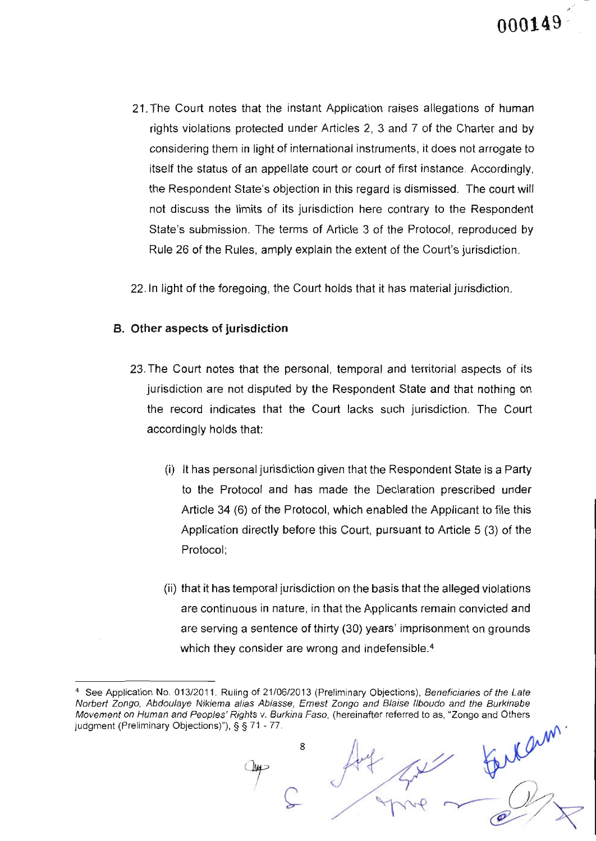@'

- 21. The Court notes that the instant Application raises allegations of human rights violations protected under Articles 2, 3 and 7 of the Charter and by considering them in light of international instruments, it does not arrogate to itself the status of an appellate court or court of first instance. Accordingly, the Respondent State's objection in this regard is dismissed. The court will not discuss the limits of its jurisdiction here contrary to the Respondent State's submission. The terms of Article 3 of the Protocol, reproduced by Rule 26 of the Rules, amply explain the extent of the Court's jurisdiction.
- 22. ln light of the foregoing, the Court holds that it has materiat jurisdiction

#### B. Other aspects of jurisdiction

- 23.The Court notes that the personal, temporal and territorial aspects of its jurisdiction are not disputed by the Respondent State and that nothing on the record indicates that the Court lacks such jurisdiction. The Court accordingly holds that:
	- (i) It has personal jurisdiction given that the Respondent State is a Party to the Protocol and has made the Declaration prescribed under Article 34 (6) of the Protocol, which enabled the Applicant to file this Application directly before this Court, pursuant to Article 5 (3) of the Protocol;
	- (ii) that it has temporal jurisdiction on the basis that the alleged violations are continuous in nature, in that the Applicants remain convicted and are serving a sentence of thirty (30) years'imprisonment on grounds which they consider are wrong and indefensible.<sup>4</sup>

8

<sup>&</sup>lt;sup>4</sup> See Application No. 013/2011. Ruling of 21/06/2013 (Preliminary Objections), Beneficiaries of the Late Norbert Zongo, Abdoulaye Nikiema alias Abiasse, Ernest Zongo and Blaise Ilboudo and the Burkinabe Movement on Human and Peoples' Rights v. Burkina Faso, (hereinafter referred to as, "Zongo and Others judgment (Preliminary Objections)"), § § 71 - 77.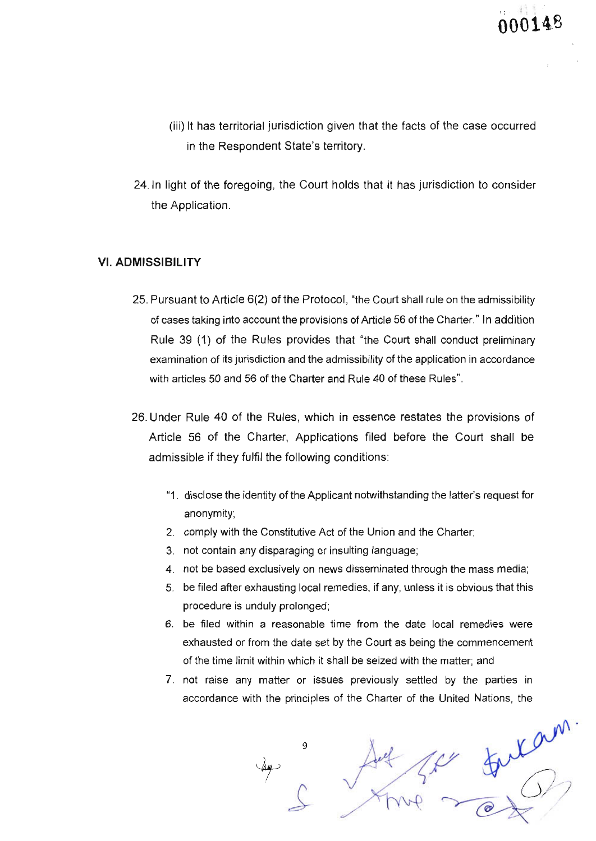- (iii) lt has territorial jurisdiction given that the facts of the case occurred in the Respondent State's territory.
- 24.In light of the foregoing, the Court holds that it has jurisdiction to consider the Application.

#### VI. ADMISSIBILITY

- 25. Pursuant to Article 6(2) of the Protocol, "the Court shall rule on the admissibility of cases taking into account the provisions of Article 56 of the Charter." ln addition Rule 39 (1) of the Rules provides that "the Court shall conduct preliminary examination of its jurisdiction and the admissibility of the application in accordance with articles 50 and 56 of the Charter and Rule 40 of these Rules".
- 26. Under Rule 40 of the Rules, which in essence restates the provisions of Article 56 of the Charter, Applications filed before the Court shall be admissible if they fulfil the following conditions:
	- "1. disclose the identity of the Applicant notwithstanding the latter's request for anonymity;
	- 2. comply with the Constitutive Act of the Union and the Charter;
	- 3. not contain any disparaging or insulting language;
	- 4. not be based exclusively on news disseminated through the mass media;
	- 5. be filed after exhausting local remedies, if any, unless it is obvious that this procedure is unduly prolonged;
	- 6. be filed within a reasonable time from the date local remedies were exhausted or from the date set by the Court as being the commencement of the time limit within which it shall be seized with the matter; and
	- 7. not raise any matter or issues previously settled by the parties in accordance with the principles of the Charter of the United Nations, the

9  $x^{\alpha m}$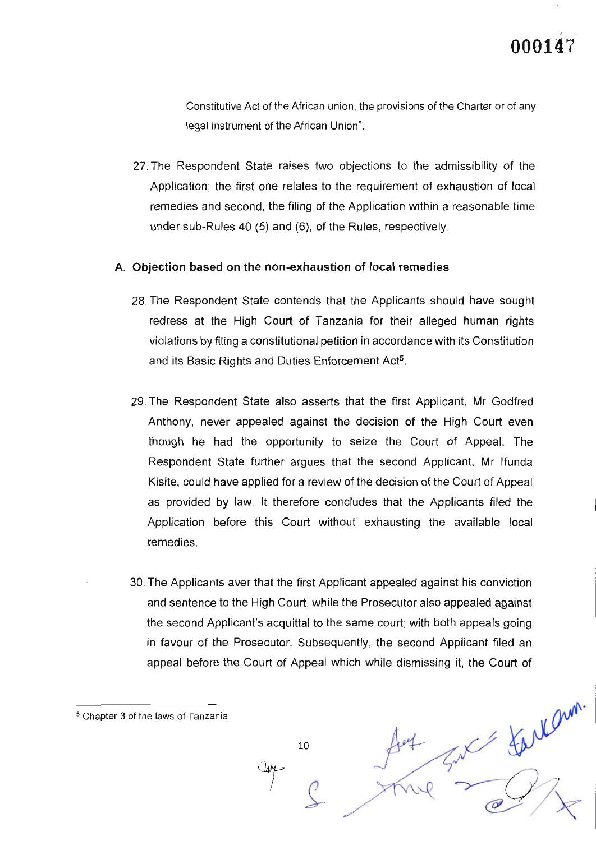= farlam.

Constitutive Act of the African union, the provisions of the Charter or of any legal instrument of the African Union".

27.The Respondent State raises two objections to the admissibility of the Application; the first one relates to the requirement of exhaustion of local remedies and second, the filing of the Application within a reasonable time under sub-Rules 40 (5) and (6), of the Rules, respectively.

#### A. Objection based on the non-exhaustion of local remedies

- 28.The Respondent State contends that the Applicants should have sought redress at the High Court of Tanzania for their alleged human rights violations by filing a constitutional petition in accordance with its Constitution and its Basic Rights and Duties Enforcement Act<sup>5</sup>.
- 29.The Respondent State also asserts that the first Applicant, Mr Godfred Anthony, never appealed against the decision of the High Court even though he had the opportunity to seize the Court of Appeal. The Respondent State further argues that the second Applicant, Mr lfunda Kisite, could have applied for a review of the decision of the Court of Appeal as provided by law. lt therefore concludes that the Applicants filed the Application before this Court without exhausting the available local remedies.
- 30. The Applicants aver that the first Applicant appealed against his conviction and sentence to the High Court, while the Prosecutor also appealed against the second Applicant's acquittal to the same court; with both appeals going in favour of the Prosecutor. Subsequently, the second Applicant filed an appeal before the Court of Appeal which while dismissing it, the Court of

10

Щų

s Chapter 3 of the laws of Tanzania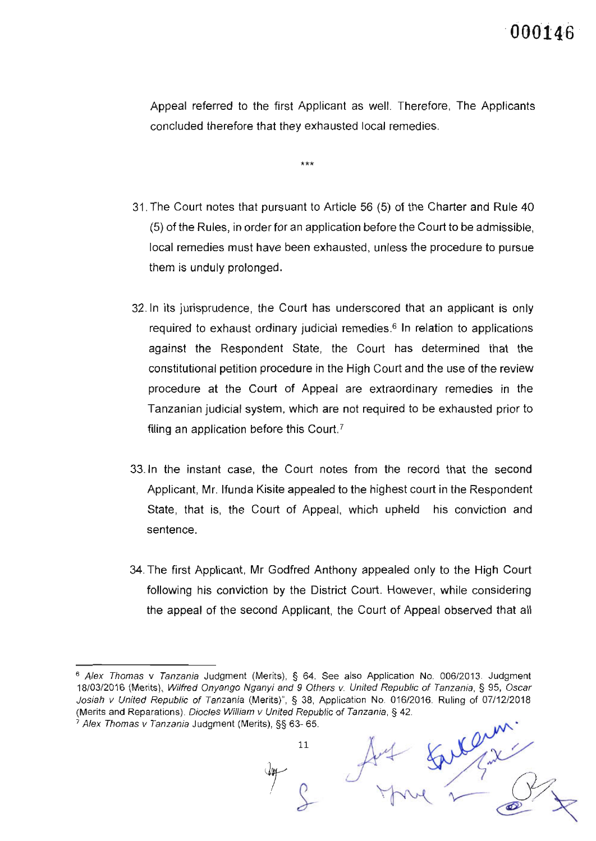Appeal referred to the first Applicant as well. Therefore, The Applicants concluded therefore that they exhausted local remedies.

 $***$ 

- 31. The Court notes that pursuant to Article 56 (5) of the Charter and Rule 40 (5) of the Rules, in order for an application before the Court to be admissible, local remedies must have been exhausted, unless the procedure to pursue them is unduly prolonged.
- 32.|n its jurisprudence, the Court has underscored that an applicant is only required to exhaust ordinary judicial remedies.<sup>6</sup> In relation to applications against the Respondent State, the Court has determined that the constitutional petition procedure in the High Court and the use of the review procedure at the Court of Appeal are extraordinary remedies in the Tanzanian judicial system, which are not required to be exhausted prior to filing an application before this Court.<sup>7</sup>
- 33. ln the instant case, the Court notes from the record that the second Applicant, Mr. lfunda Kisite appealed to the highest court in the Respondent State, that is, the Court of Appeal, which upheld his conviction and sentence.
- 34.The first Applicant, Mr Godfred Anthony appealed only to the High Court following his conviction by the District Court. However, while considering the appeal of the second Applicant, the Court of Appeal observed that all

<sup>&</sup>lt;sup>6</sup> Alex Thomas v Tanzania Judgment (Merits), § 64. See also Application No. 006/2013. Judgment 18/03/2016 (Merits), Wilfred Onyango Nganyi and 9 Others v. United Republic of Tanzania, § 95, Oscar Josiah v United Republic of Tanzania (Merits)", § 38, Application No. 016/2016. Ruling of 07/12/2018 (Merits and Reparations). Diocles William v United Republic of Tanzania, § 42.  $7$  Alex Thomas v Tanzania Judgment (Merits), §§ 63-65.

<sup>11</sup>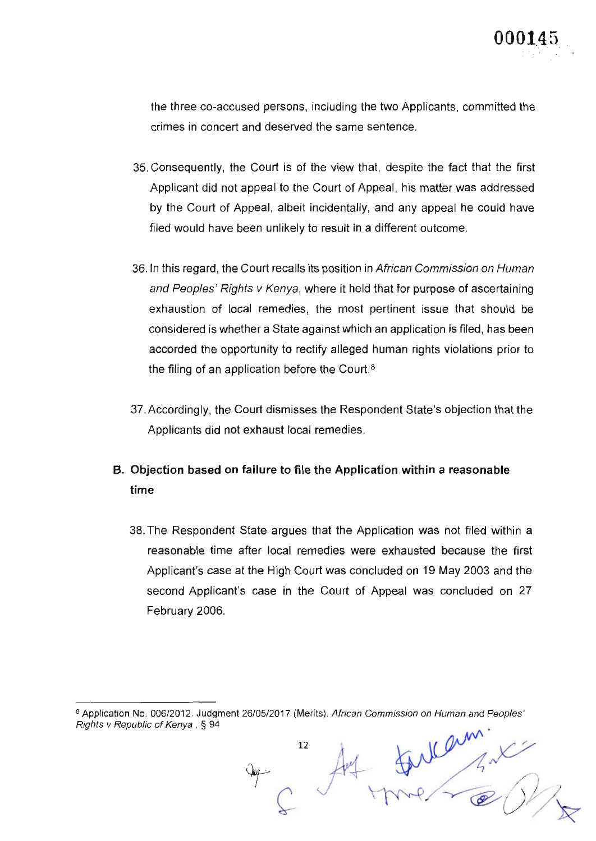the three co-accused persons, including the two Applicants, committed the crimes in concert and deserved the same sentence.

- 35.Consequently, the Court is of the view that, despite the fact that the first Applicant did not appeal to the Court of Appeal, his matter was addressed by the Court of Appeal, albeit incidentally, and any appeal he could have filed would have been unlikely to result in a different outcome.
- 36.1n this regard, the Court recalls its position in African Commission on Human and Peoples' Rights v Kenya, where it held that for purpose of ascertaining exhaustion of local remedies, the most pertinent issue that should be considered is whether a State against which an application is filed, has been accorded the opportunity to rectify alleged human rights violations prior to the filing of an application before the Court.<sup>8</sup>
- 37. Accordingly, the Court dismisses the Respondent State's objection that the Applicants did not exhaust local remedies.
- B. Objection based on failure to file the Application within a reasonable time
	- 38.The Respondent State argues that the Apptication was not filed within a reasonable time after local remedies were exhausted because the first Applicant's case at the High Court was concluded on 19 May 2003 and the second Applicant's case in the Court of Appeal was concluded on 27 February 2006.

<sup>8</sup> Application No. 006/2012. Judgment 26/05/2017 (Merits). African Commission on Human and Peoples' Rights v Republic of Kenya, § 94 fullem.

12

 $\mathcal{L}$ 

Jug -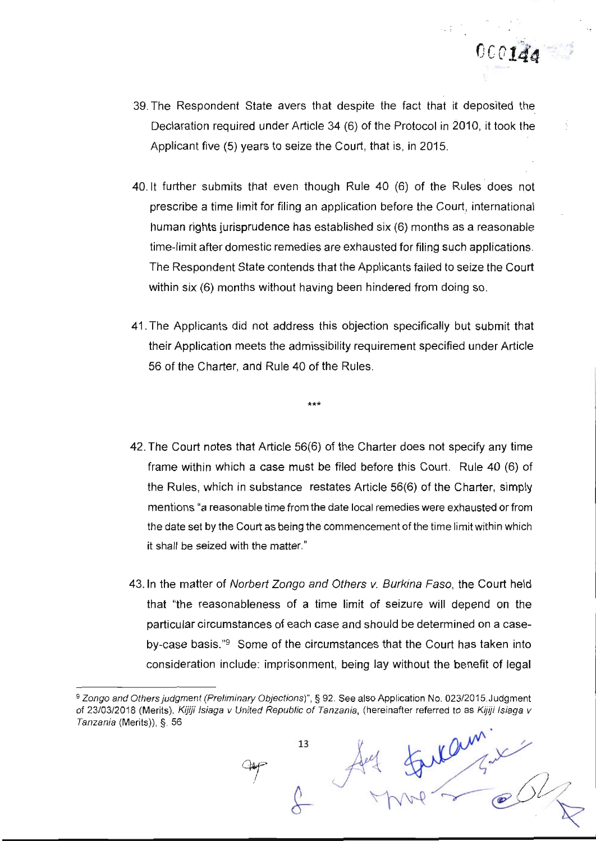39. The Respondent State avers that despite the fact that it deposited the Declaration required under Article 3a (6) of the Protocol in 2010, it took the Applicant five (5) years to seize the Court, that is, in 2015.

 $0001da$ 

- 40.1t further submits that even though Rute 40 (6) of the Rules does not prescribe a time limit for filing an application before the court, international human rights jurisprudence has established six (6) months as a reasonable time-limit after domestic remedies are exhausted for filing such applications. The Respondent State contends that the Applicants failed to seize the Court within six (6) months without having been hindered from doing so.
- 41.The Applicants did not address this objection specifically but submit that their Application meets the admissibility requirement specified under Article 56 of the Charter, and Rule 40 of the Rules.

 $+ + +$ 

- 42.The Court notes that Article 56(6) of the Charter does not specify any time frame within which a case must be filed before this Court. Rule 40 (6) of the Rules, which in substance restates Article 56(6) of the Charter, simply mentions 'a reasonable time from the date local remedies were exhausted or from the date set by the Court as being the commencement of the time limitwithin which it shall be seized with the matter."
- 43. In the matter of Norbert Zongo and Others v. Burkina Faso, the Court held that "the reasonableness of a time limit of seizure will depend on the particular circumstances of each case and should be determined on a caseby-case basis."<sup>9</sup> Some of the circumstances that the Court has taken into consideration include: imprisonment, being lay without the benefit of legal

 $\omega_{\mathcal{A}^*}$ 

<sup>&</sup>lt;sup>9</sup> Zongo and Others judgment (Preliminary Objections)", § 92. See also Application No. 023/2015. Judgment of 23/03/2018 (Merits), Kijiji Isiaga v United Republic of Tanzania, (hereinafter referred to as Kijiji Isiaga v Tanzania (Merits)), \$. 56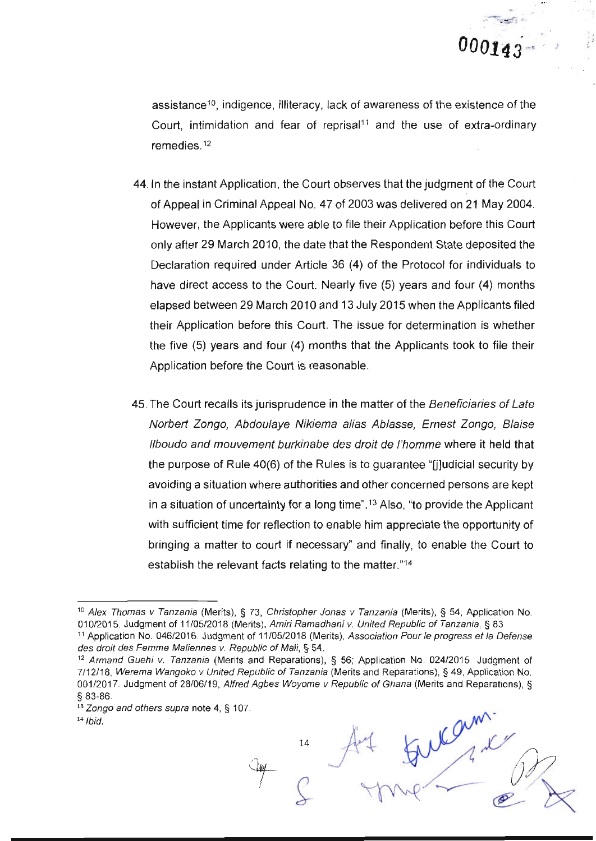@-

assistance<sup>10</sup>, indigence, illiteracy, lack of awareness of the existence of the Court, intimidation and fear of reprisal<sup>11</sup> and the use of extra-ordinary remedies. $12$ 

- 44. ln the instant Application, the Court observes that the judgment of the Court of Appeal in Criminal Appeal No. 47 of 2003 was delivered on 21 May 2004. However, the Applicants were able to file their Application before this Court only after 29 March 2010, the date that the Respondent State deposited the Declaration required under Article 36 (4) of the Protocol for individuals to have direct access to the Court. Nearly five (5) years and four (4) months elapsed between 29 March 2010 and 13 July 2015 when the Applicants fited their Application before this Court. The issue for determination is whether the five (5) years and four (4) months that the Applicants took to file their Application before the Court is reasonable.
- 45.The Court recalls its jurisprudence in the matter of the Beneficiaries of Late Norbert Zongo, Abdoulaye Nikiema alias Ablasse, Ernest Zongo, Blaise llboudo and mouvement burkinabe des droit de l'homme where it held that the purpose of Rule  $40(6)$  of the Rules is to guarantee "[j]udicial security by avoiding a situation where authorities and other concerned persons are kept in a situation of uncertainty for a long time".13 Also, "to provide the Applicant with sufficient time for reflection to enable him appreciate the opportunity of bringing a matter to court if necessary" and finally, to enable the Court to establish the relevant facts relating to the matter."<sup>14</sup>

14

<sup>&</sup>lt;sup>10</sup> Alex Thomas v Tanzania (Merits), § 73, Christopher Jonas v Tanzania (Merits), § 54, Application No.<br>010/2015. Judgment of 11/05/2018 (Merits), Amiri Ramadhani v. United Republic of Tanzania, § 83

<sup>&</sup>lt;sup>11</sup> Application No. 046/2016. Judgment of 11/05/2018 (Merits), Association Pour le progress et la Defense des droit des Femme Maliennes v. Republic of Mali, § 54.

<sup>&</sup>lt;sup>12</sup> Armand Guehi v. Tanzania (Merits and Reparations), § 56; Application No. 024/2015. Judgment of 7112118, Werema Wangoko v United Republic of Tanzania (Merits and Reparations), S 49, Application No. 001/2017. Judgment of 28/06/19, Alfred Agbes Woyome v Republic of Ghana (Merits and Reparations), § s 83-86.

 $13$  Zongo and others supra note 4, § 107.

 $14$  lbid.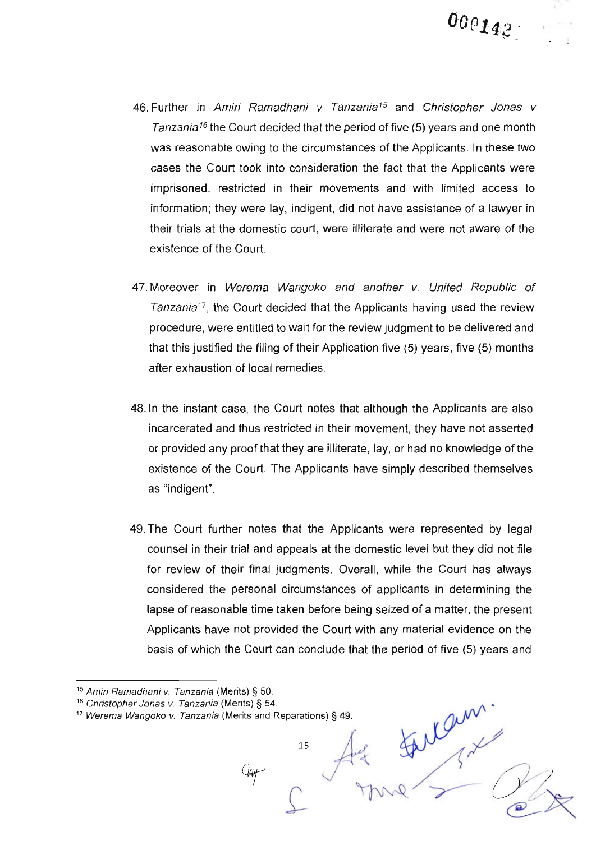- 46. Further in Amiri Ramadhani v Tanzania<sup>15</sup> and Christopher Jonas v Tanzania<sup>16</sup> the Court decided that the period of five (5) years and one month was reasonable owing to the circumstances of the Applicants. ln these two cases the Court took into consideration the fact that the Applicants were imprisoned, restricted in their movements and with limited access to information; they were lay, indigent, did not have assistance of a lawyer in their trials at the domestic court, were illiterate and were not aware of the existence of the Court.
- 47. Moreover in Werema Wangoko and another v. United Republic of  $Tanzania^{17}$ , the Court decided that the Applicants having used the review procedure, were entitled to wait for the review judgment to be delivered and that this justified the filing of their Application five (5) years, five (5) months after exhaustion of local remedies.
- 48.1n the instant case, the Court notes that although the Applicants are also incarcerated and thus restricted in their movement, they have not asserted or provided any proof that they are illiterate, lay, or had no knowledge of the existence of the Court. The Applicants have simply described themselves as "indigent".
- 49.The Court further notes that the Applicants were represented by legal counsel in their trial and appeals at the domestic level but they did not file for review of their final judgments. Overall, while the Court has always considered the personal circumstances of applicants in determining the lapse of reasonable time taken before being seized of a matter, the present Applicants have not provided the Court with any material evidence on the basis of which the Court can conclude that the period of five (5) years and

 $\gamma_{\text{NN}} \sim 0$ 

ram

<sup>&</sup>lt;sup>15</sup> Amiri Ramadhani v. Tanzania (Merits) § 50.

<sup>&</sup>lt;sup>16</sup> Christopher Jonas v. Tanzania (Merits) § 54.

 $17$  Werema Wangoko v. Tanzania (Merits and Reparations) § 49.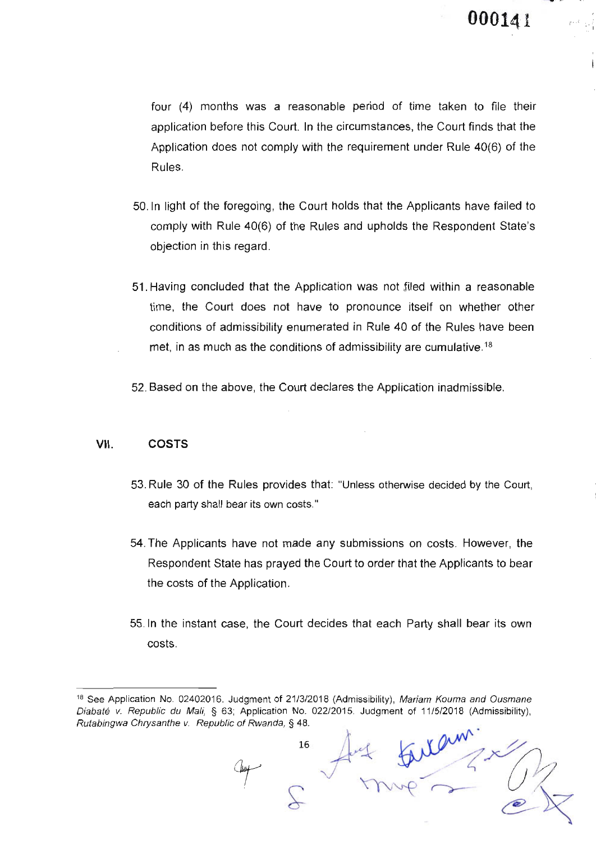four (4) months was a reasonable period of time taken to file their application before this Court. ln the circumstances, the Court finds that the Application does not comply with the requirement under Rule 40(6) of the Rules.

- 50.|n light of the foregoing, the Court holds that the Applicants have failed to comply with Rule 40(6) of the Rules and upholds the Respondent State's objection in this regard.
- 51. Having concluded that the Application was not ,filed within a reasonable time, the Court does not have to pronounce itself on whether other conditions of admissibility enumerated in Rule 40 of the Rules have been met, in as much as the conditions of admissibility are cumulative.<sup>18</sup>
- 52. Based on the above, the Court declares the Application inadmissible

#### VII. COSTS

- 53. Rule 30 of the Rules provides that: "Unless otherwise decided by the Court, each party shall bear its own costs."
- 54.The Applicants have not made any submissions on costs. However, the Respondent State has prayed the Court to order that the Applicants to bear the costs of the Application.
- 55. ln the instant case, the Court decides that each Party shall bear its own costs.

 $\rightarrow$ 

 $\tau$ 

16

<sup>&</sup>lt;sup>18</sup> See Application No. 02402016. Judgment of 21/3/2018 (Admissibility), Mariam Kouma and Ousmane Diabaté v. Republic du Mali, § 63; Application No. 022/2015. Judgment of 11/5/2018 (Admissibility), Rutabingwa Chrysanthe v. Republic of Rwanda, § 48.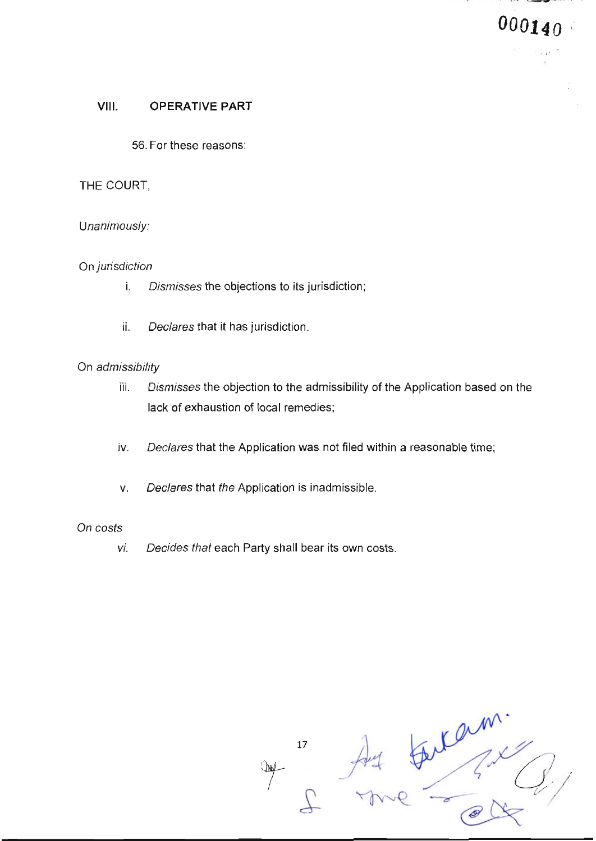#### VIII. **OPERATIVE PART**

56. For these reasons:

#### THE COURT,

#### Unanimously:

#### On jurisdiction

- i. Dismisses the objections to its jurisdiction;
- ii. Declares that it has jurisdiction.

#### On admissibility

- iii. Dismisses the objection to the admissibility of the Application based on the lack of exhaustion of local remedies;
- iv. Declares that the Application was not filed within a reasonable time;
- Declares that the Application is inadmissible. v.

#### On costs

Decides that each Party shall bear its own costs. vi.

pari.  $17$